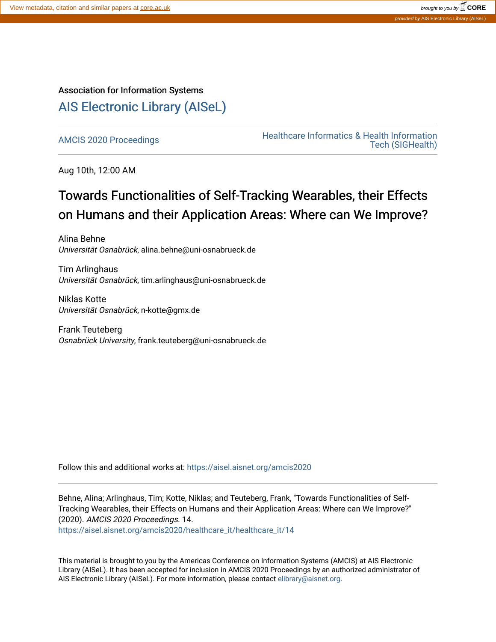## Association for Information Systems [AIS Electronic Library \(AISeL\)](https://aisel.aisnet.org/)

AMCIS 2020 Proceedings<br>
Healthcare Informatics & Health Information<br>
Tech (SICHealth) [Tech \(SIGHealth\)](https://aisel.aisnet.org/amcis2020/healthcare_it) 

Aug 10th, 12:00 AM

## Towards Functionalities of Self-Tracking Wearables, their Effects on Humans and their Application Areas: Where can We Improve?

Alina Behne Universität Osnabrück, alina.behne@uni-osnabrueck.de

Tim Arlinghaus Universität Osnabrück, tim.arlinghaus@uni-osnabrueck.de

Niklas Kotte Universität Osnabrück, n-kotte@gmx.de

Frank Teuteberg Osnabrück University, frank.teuteberg@uni-osnabrueck.de

Follow this and additional works at: [https://aisel.aisnet.org/amcis2020](https://aisel.aisnet.org/amcis2020?utm_source=aisel.aisnet.org%2Famcis2020%2Fhealthcare_it%2Fhealthcare_it%2F14&utm_medium=PDF&utm_campaign=PDFCoverPages) 

Behne, Alina; Arlinghaus, Tim; Kotte, Niklas; and Teuteberg, Frank, "Towards Functionalities of Self-Tracking Wearables, their Effects on Humans and their Application Areas: Where can We Improve?" (2020). AMCIS 2020 Proceedings. 14.

[https://aisel.aisnet.org/amcis2020/healthcare\\_it/healthcare\\_it/14](https://aisel.aisnet.org/amcis2020/healthcare_it/healthcare_it/14?utm_source=aisel.aisnet.org%2Famcis2020%2Fhealthcare_it%2Fhealthcare_it%2F14&utm_medium=PDF&utm_campaign=PDFCoverPages)

This material is brought to you by the Americas Conference on Information Systems (AMCIS) at AIS Electronic Library (AISeL). It has been accepted for inclusion in AMCIS 2020 Proceedings by an authorized administrator of AIS Electronic Library (AISeL). For more information, please contact [elibrary@aisnet.org](mailto:elibrary@aisnet.org%3E).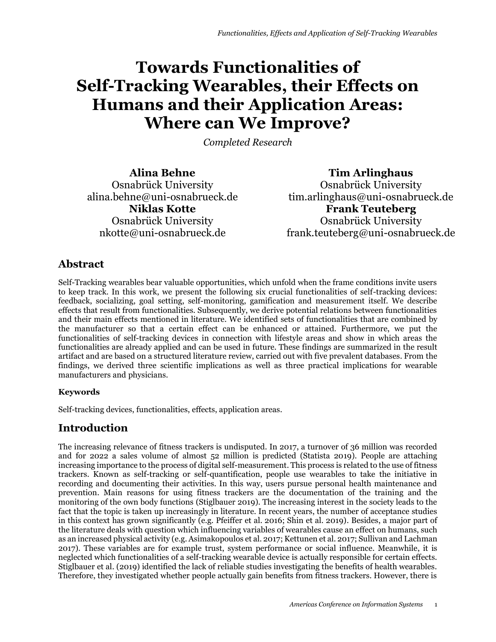# **Towards Functionalities of Self-Tracking Wearables, their Effects on Humans and their Application Areas: Where can We Improve?**

*Completed Research*

**Alina Behne** Osnabrück University alina.behne@uni-osnabrueck.de **Niklas Kotte** Osnabrück University nkotte@uni-osnabrueck.de

**Tim Arlinghaus** Osnabrück University tim.arlinghaus@uni-osnabrueck.de **Frank Teuteberg** Osnabrück University frank.teuteberg@uni-osnabrueck.de

## **Abstract**

Self-Tracking wearables bear valuable opportunities, which unfold when the frame conditions invite users to keep track. In this work, we present the following six crucial functionalities of self-tracking devices: feedback, socializing, goal setting, self-monitoring, gamification and measurement itself. We describe effects that result from functionalities. Subsequently, we derive potential relations between functionalities and their main effects mentioned in literature. We identified sets of functionalities that are combined by the manufacturer so that a certain effect can be enhanced or attained. Furthermore, we put the functionalities of self-tracking devices in connection with lifestyle areas and show in which areas the functionalities are already applied and can be used in future. These findings are summarized in the result artifact and are based on a structured literature review, carried out with five prevalent databases. From the findings, we derived three scientific implications as well as three practical implications for wearable manufacturers and physicians.

#### **Keywords**

Self-tracking devices, functionalities, effects, application areas.

## **Introduction**

The increasing relevance of fitness trackers is undisputed. In 2017, a turnover of 36 million was recorded and for 2022 a sales volume of almost 52 million is predicted (Statista 2019). People are attaching increasing importance to the process of digital self-measurement. This process is related to the use of fitness trackers. Known as self-tracking or self-quantification, people use wearables to take the initiative in recording and documenting their activities. In this way, users pursue personal health maintenance and prevention. Main reasons for using fitness trackers are the documentation of the training and the monitoring of the own body functions (Stiglbauer 2019). The increasing interest in the society leads to the fact that the topic is taken up increasingly in literature. In recent years, the number of acceptance studies in this context has grown significantly (e.g. Pfeiffer et al. 2016; Shin et al. 2019). Besides, a major part of the literature deals with question which influencing variables of wearables cause an effect on humans, such as an increased physical activity (e.g. Asimakopoulos et al. 2017; Kettunen et al. 2017; Sullivan and Lachman 2017). These variables are for example trust, system performance or social influence. Meanwhile, it is neglected which functionalities of a self-tracking wearable device is actually responsible for certain effects. Stiglbauer et al. (2019) identified the lack of reliable studies investigating the benefits of health wearables. Therefore, they investigated whether people actually gain benefits from fitness trackers. However, there is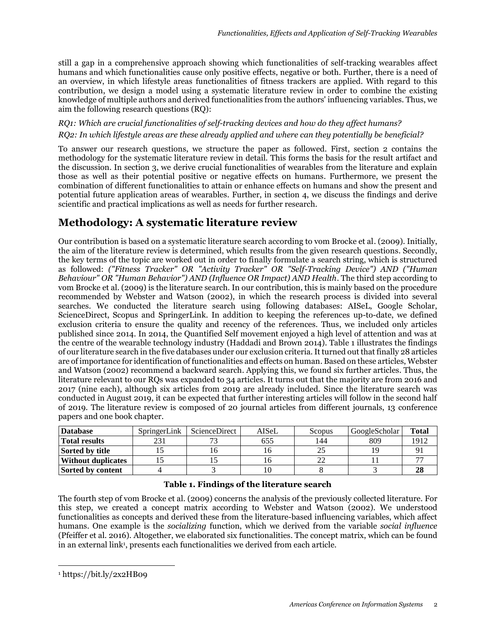still a gap in a comprehensive approach showing which functionalities of self-tracking wearables affect humans and which functionalities cause only positive effects, negative or both. Further, there is a need of an overview, in which lifestyle areas functionalities of fitness trackers are applied. With regard to this contribution, we design a model using a systematic literature review in order to combine the existing knowledge of multiple authors and derived functionalities from the authors' influencing variables. Thus, we aim the following research questions (RQ):

#### *RQ1: Which are crucial functionalities of self-tracking devices and how do they affect humans? RQ2: In which lifestyle areas are these already applied and where can they potentially be beneficial?*

To answer our research questions, we structure the paper as followed. First, section 2 contains the methodology for the systematic literature review in detail. This forms the basis for the result artifact and the discussion. In section 3, we derive crucial functionalities of wearables from the literature and explain those as well as their potential positive or negative effects on humans. Furthermore, we present the combination of different functionalities to attain or enhance effects on humans and show the present and potential future application areas of wearables. Further, in section 4, we discuss the findings and derive scientific and practical implications as well as needs for further research.

## **Methodology: A systematic literature review**

Our contribution is based on a systematic literature search according to vom Brocke et al. (2009). Initially, the aim of the literature review is determined, which results from the given research questions. Secondly, the key terms of the topic are worked out in order to finally formulate a search string, which is structured as followed: *("Fitness Tracker" OR "Activity Tracker" OR "Self-Tracking Device") AND ("Human Behaviour" OR "Human Behavior") AND (Influence OR Impact) AND Health*. The third step according to vom Brocke et al. (2009) is the literature search. In our contribution, this is mainly based on the procedure recommended by Webster and Watson (2002), in which the research process is divided into several searches. We conducted the literature search using following databases: AISeL, Google Scholar, ScienceDirect, Scopus and SpringerLink. In addition to keeping the references up-to-date, we defined exclusion criteria to ensure the quality and recency of the references. Thus, we included only articles published since 2014. In 2014, the Quantified Self movement enjoyed a high level of attention and was at the centre of the wearable technology industry (Haddadi and Brown 2014). [Table 1](#page-2-0) illustrates the findings of our literature search in the five databases under our exclusion criteria. It turned out that finally 28 articles are of importance for identification of functionalities and effects on human. Based on these articles, Webster and Watson (2002) recommend a backward search. Applying this, we found six further articles. Thus, the literature relevant to our RQs was expanded to 34 articles. It turns out that the majority are from 2016 and 2017 (nine each), although six articles from 2019 are already included. Since the literature search was conducted in August 2019, it can be expected that further interesting articles will follow in the second half of 2019. The literature review is composed of 20 journal articles from different journals, 13 conference papers and one book chapter.

| <b>Database</b>           | SpringerLink | <b>ScienceDirect</b> | AISeL | Scopus | GoogleScholar | <b>Total</b> |
|---------------------------|--------------|----------------------|-------|--------|---------------|--------------|
| Total results             | 231          |                      | 655   | 144    | 809           | 1912         |
| Sorted by title           |              |                      |       |        |               |              |
| <b>Without duplicates</b> |              |                      |       |        |               |              |
| Sorted by content         |              |                      |       |        |               | 28           |

#### **Table 1. Findings of the literature search**

<span id="page-2-0"></span>The fourth step of vom Brocke et al. (2009) concerns the analysis of the previously collected literature. For this step, we created a concept matrix according to Webster and Watson (2002). We understood functionalities as concepts and derived these from the literature-based influencing variables, which affect humans. One example is the *socializing* function, which we derived from the variable *social influence* (Pfeiffer et al. 2016). Altogether, we elaborated six functionalities. The concept matrix, which can be found in an external link<sup>1</sup>, presents each functionalities we derived from each article.

 $\overline{a}$ 

<sup>1</sup> <https://bit.ly/2x2HB09>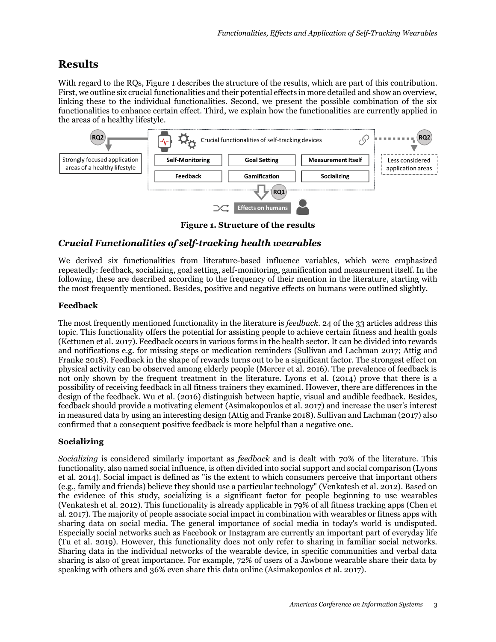## **Results**

With regard to the RQs, [Figure 1](#page-3-0) describes the structure of the results, which are part of this contribution. First, we outline six crucial functionalities and their potential effects in more detailed and show an overview, linking these to the individual functionalities. Second, we present the possible combination of the six functionalities to enhance certain effect. Third, we explain how the functionalities are currently applied in the areas of a healthy lifestyle.



**Figure 1. Structure of the results**

#### <span id="page-3-0"></span>*Crucial Functionalities of self-tracking health wearables*

We derived six functionalities from literature-based influence variables, which were emphasized repeatedly: feedback, socializing, goal setting, self-monitoring, gamification and measurement itself. In the following, these are described according to the frequency of their mention in the literature, starting with the most frequently mentioned. Besides, positive and negative effects on humans were outlined slightly.

#### **Feedback**

The most frequently mentioned functionality in the literature is *feedback*. 24 of the 33 articles address this topic. This functionality offers the potential for assisting people to achieve certain fitness and health goals (Kettunen et al. 2017). Feedback occurs in various forms in the health sector. It can be divided into rewards and notifications e.g. for missing steps or medication reminders (Sullivan and Lachman 2017; Attig and Franke 2018). Feedback in the shape of rewards turns out to be a significant factor. The strongest effect on physical activity can be observed among elderly people (Mercer et al. 2016). The prevalence of feedback is not only shown by the frequent treatment in the literature. Lyons et al. (2014) prove that there is a possibility of receiving feedback in all fitness trainers they examined. However, there are differences in the design of the feedback. Wu et al. (2016) distinguish between haptic, visual and audible feedback. Besides, feedback should provide a motivating element (Asimakopoulos et al. 2017) and increase the user's interest in measured data by using an interesting design (Attig and Franke 2018). Sullivan and Lachman (2017) also confirmed that a consequent positive feedback is more helpful than a negative one.

#### **Socializing**

*Socializing* is considered similarly important as *feedback* and is dealt with 70% of the literature. This functionality, also named social influence, is often divided into social support and social comparison (Lyons et al. 2014). Social impact is defined as "is the extent to which consumers perceive that important others (e.g., family and friends) believe they should use a particular technology" (Venkatesh et al. 2012). Based on the evidence of this study, socializing is a significant factor for people beginning to use wearables (Venkatesh et al. 2012). This functionality is already applicable in 79% of all fitness tracking apps (Chen et al. 2017). The majority of people associate social impact in combination with wearables or fitness apps with sharing data on social media. The general importance of social media in today's world is undisputed. Especially social networks such as Facebook or Instagram are currently an important part of everyday life (Tu et al. 2019). However, this functionality does not only refer to sharing in familiar social networks. Sharing data in the individual networks of the wearable device, in specific communities and verbal data sharing is also of great importance. For example, 72% of users of a Jawbone wearable share their data by speaking with others and 36% even share this data online (Asimakopoulos et al. 2017).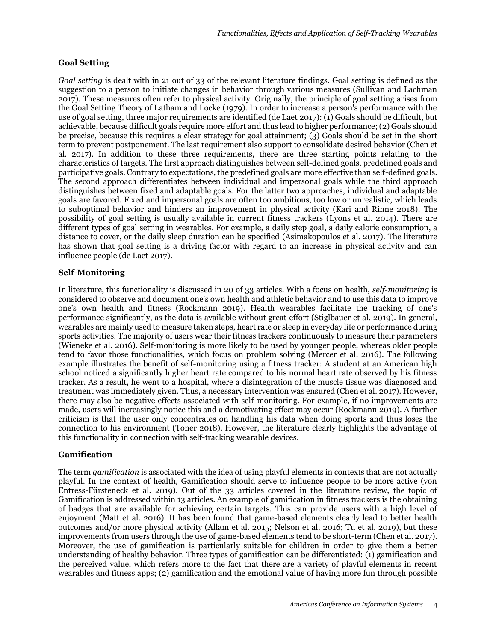#### **Goal Setting**

*Goal setting* is dealt with in 21 out of 33 of the relevant literature findings. Goal setting is defined as the suggestion to a person to initiate changes in behavior through various measures (Sullivan and Lachman 2017). These measures often refer to physical activity. Originally, the principle of goal setting arises from the Goal Setting Theory of Latham and Locke (1979). In order to increase a person's performance with the use of goal setting, three major requirements are identified (de Laet 2017): (1) Goals should be difficult, but achievable, because difficult goals require more effort and thus lead to higher performance; (2) Goals should be precise, because this requires a clear strategy for goal attainment; (3) Goals should be set in the short term to prevent postponement. The last requirement also support to consolidate desired behavior (Chen et al. 2017). In addition to these three requirements, there are three starting points relating to the characteristics of targets. The first approach distinguishes between self-defined goals, predefined goals and participative goals. Contrary to expectations, the predefined goals are more effective than self-defined goals. The second approach differentiates between individual and impersonal goals while the third approach distinguishes between fixed and adaptable goals. For the latter two approaches, individual and adaptable goals are favored. Fixed and impersonal goals are often too ambitious, too low or unrealistic, which leads to suboptimal behavior and hinders an improvement in physical activity (Kari and Rinne 2018). The possibility of goal setting is usually available in current fitness trackers (Lyons et al. 2014). There are different types of goal setting in wearables. For example, a daily step goal, a daily calorie consumption, a distance to cover, or the daily sleep duration can be specified (Asimakopoulos et al. 2017). The literature has shown that goal setting is a driving factor with regard to an increase in physical activity and can influence people (de Laet 2017).

#### **Self-Monitoring**

In literature, this functionality is discussed in 20 of 33 articles. With a focus on health, *self-monitoring* is considered to observe and document one's own health and athletic behavior and to use this data to improve one's own health and fitness (Rockmann 2019). Health wearables facilitate the tracking of one's performance significantly, as the data is available without great effort (Stiglbauer et al. 2019). In general, wearables are mainly used to measure taken steps, heart rate or sleep in everyday life or performance during sports activities. The majority of users wear their fitness trackers continuously to measure their parameters (Wieneke et al. 2016). Self-monitoring is more likely to be used by younger people, whereas older people tend to favor those functionalities, which focus on problem solving (Mercer et al. 2016). The following example illustrates the benefit of self-monitoring using a fitness tracker: A student at an American high school noticed a significantly higher heart rate compared to his normal heart rate observed by his fitness tracker. As a result, he went to a hospital, where a disintegration of the muscle tissue was diagnosed and treatment was immediately given. Thus, a necessary intervention was ensured (Chen et al. 2017). However, there may also be negative effects associated with self-monitoring. For example, if no improvements are made, users will increasingly notice this and a demotivating effect may occur (Rockmann 2019). A further criticism is that the user only concentrates on handling his data when doing sports and thus loses the connection to his environment (Toner 2018). However, the literature clearly highlights the advantage of this functionality in connection with self-tracking wearable devices.

#### **Gamification**

The term *gamification* is associated with the idea of using playful elements in contexts that are not actually playful. In the context of health, Gamification should serve to influence people to be more active (von Entress-Fürsteneck et al. 2019). Out of the 33 articles covered in the literature review, the topic of Gamification is addressed within 13 articles. An example of gamification in fitness trackers is the obtaining of badges that are available for achieving certain targets. This can provide users with a high level of enjoyment (Matt et al. 2016). It has been found that game-based elements clearly lead to better health outcomes and/or more physical activity (Allam et al. 2015; Nelson et al. 2016; Tu et al. 2019), but these improvements from users through the use of game-based elements tend to be short-term (Chen et al. 2017). Moreover, the use of gamification is particularly suitable for children in order to give them a better understanding of healthy behavior. Three types of gamification can be differentiated: (1) gamification and the perceived value, which refers more to the fact that there are a variety of playful elements in recent wearables and fitness apps; (2) gamification and the emotional value of having more fun through possible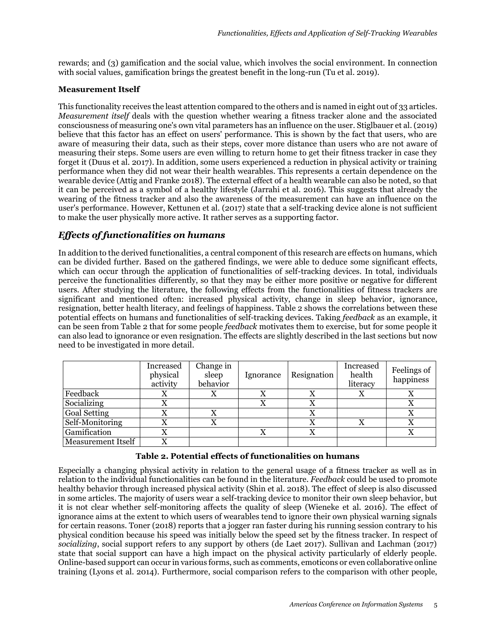rewards; and (3) gamification and the social value, which involves the social environment. In connection with social values, gamification brings the greatest benefit in the long-run (Tu et al. 2019).

#### **Measurement Itself**

This functionality receives the least attention compared to the others and is named in eight out of 33 articles. *Measurement itself* deals with the question whether wearing a fitness tracker alone and the associated consciousness of measuring one's own vital parameters has an influence on the user. Stiglbauer et al. (2019) believe that this factor has an effect on users' performance. This is shown by the fact that users, who are aware of measuring their data, such as their steps, cover more distance than users who are not aware of measuring their steps. Some users are even willing to return home to get their fitness tracker in case they forget it (Duus et al. 2017). In addition, some users experienced a reduction in physical activity or training performance when they did not wear their health wearables. This represents a certain dependence on the wearable device (Attig and Franke 2018). The external effect of a health wearable can also be noted, so that it can be perceived as a symbol of a healthy lifestyle (Jarrahi et al. 2016). This suggests that already the wearing of the fitness tracker and also the awareness of the measurement can have an influence on the user's performance. However, Kettunen et al. (2017) state that a self-tracking device alone is not sufficient to make the user physically more active. It rather serves as a supporting factor.

#### *Effects of functionalities on humans*

In addition to the derived functionalities, a central component of this research are effects on humans, which can be divided further. Based on the gathered findings, we were able to deduce some significant effects, which can occur through the application of functionalities of self-tracking devices. In total, individuals perceive the functionalities differently, so that they may be either more positive or negative for different users. After studying the literature, the following effects from the functionalities of fitness trackers are significant and mentioned often: increased physical activity, change in sleep behavior, ignorance, resignation, better health literacy, and feelings of happiness. [Table 2](#page-5-0) shows the correlations between these potential effects on humans and functionalities of self-tracking devices. Taking *feedback* as an example, it can be seen from [Table 2](#page-5-0) that for some people *feedback* motivates them to exercise, but for some people it can also lead to ignorance or even resignation. The effects are slightly described in the last sections but now need to be investigated in more detail.

|                     | Increased<br>physical<br>activity | Change in<br>sleep<br>behavior | Ignorance | Resignation      | Increased<br>health<br>literacy | Feelings of<br>happiness |
|---------------------|-----------------------------------|--------------------------------|-----------|------------------|---------------------------------|--------------------------|
| Feedback            | X                                 |                                | x         |                  |                                 |                          |
| Socializing         | X                                 |                                |           |                  |                                 |                          |
| <b>Goal Setting</b> | Х                                 | x                              |           | $\mathbf v$<br>Λ |                                 |                          |
| Self-Monitoring     | Х                                 | x                              |           | ▼                |                                 |                          |
| Gamification        | Х                                 |                                | X         | X                |                                 | л                        |
| Measurement Itself  | X                                 |                                |           |                  |                                 |                          |

#### **Table 2. Potential effects of functionalities on humans**

<span id="page-5-0"></span>Especially a changing physical activity in relation to the general usage of a fitness tracker as well as in relation to the individual functionalities can be found in the literature. *Feedback* could be used to promote healthy behavior through increased physical activity (Shin et al. 2018). The effect of sleep is also discussed in some articles. The majority of users wear a self-tracking device to monitor their own sleep behavior, but it is not clear whether self-monitoring affects the quality of sleep (Wieneke et al. 2016). The effect of ignorance aims at the extent to which users of wearables tend to ignore their own physical warning signals for certain reasons. Toner (2018) reports that a jogger ran faster during his running session contrary to his physical condition because his speed was initially below the speed set by the fitness tracker. In respect of *socializing*, social support refers to any support by others (de Laet 2017). Sullivan and Lachman (2017) state that social support can have a high impact on the physical activity particularly of elderly people. Online-based support can occur in various forms, such as comments, emoticons or even collaborative online training (Lyons et al. 2014). Furthermore, social comparison refers to the comparison with other people,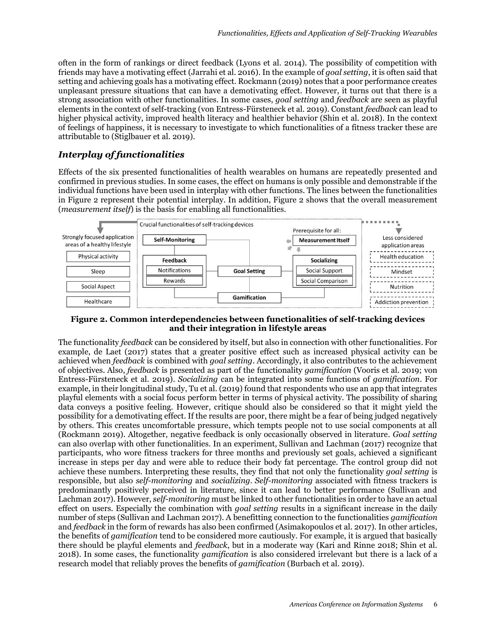often in the form of rankings or direct feedback (Lyons et al. 2014). The possibility of competition with friends may have a motivating effect (Jarrahi et al. 2016). In the example of *goal setting*, it is often said that setting and achieving goals has a motivating effect. Rockmann (2019) notes that a poor performance creates unpleasant pressure situations that can have a demotivating effect. However, it turns out that there is a strong association with other functionalities. In some cases, *goal setting* and *feedback* are seen as playful elements in the context of self-tracking (von Entress-Fürsteneck et al. 2019). Constant *feedback* can lead to higher physical activity, improved health literacy and healthier behavior (Shin et al. 2018). In the context of feelings of happiness, it is necessary to investigate to which functionalities of a fitness tracker these are attributable to (Stiglbauer et al. 2019).

#### *Interplay of functionalities*

Effects of the six presented functionalities of health wearables on humans are repeatedly presented and confirmed in previous studies. In some cases, the effect on humans is only possible and demonstrable if the individual functions have been used in interplay with other functions. The lines between the functionalities in [Figure 2](#page-6-0) represent their potential interplay. In addition, [Figure 2](#page-6-0) shows that the overall measurement (*measurement itself*) is the basis for enabling all functionalities.



#### <span id="page-6-0"></span>**Figure 2. Common interdependencies between functionalities of self-tracking devices and their integration in lifestyle areas**

The functionality *feedback* can be considered by itself, but also in connection with other functionalities. For example, de Laet (2017) states that a greater positive effect such as increased physical activity can be achieved when *feedback* is combined with *goal setting*. Accordingly, it also contributes to the achievement of objectives. Also, *feedback* is presented as part of the functionality *gamification* (Vooris et al. 2019; von Entress-Fürsteneck et al. 2019). *Socializing* can be integrated into some functions of *gamification*. For example, in their longitudinal study, Tu et al. (2019) found that respondents who use an app that integrates playful elements with a social focus perform better in terms of physical activity. The possibility of sharing data conveys a positive feeling. However, critique should also be considered so that it might yield the possibility for a demotivating effect. If the results are poor, there might be a fear of being judged negatively by others. This creates uncomfortable pressure, which tempts people not to use social components at all (Rockmann 2019). Altogether, negative feedback is only occasionally observed in literature. *Goal setting* can also overlap with other functionalities. In an experiment, Sullivan and Lachman (2017) recognize that participants, who wore fitness trackers for three months and previously set goals, achieved a significant increase in steps per day and were able to reduce their body fat percentage. The control group did not achieve these numbers. Interpreting these results, they find that not only the functionality *goal setting* is responsible, but also *self-monitoring* and *socializing*. *Self-monitoring* associated with fitness trackers is predominantly positively perceived in literature, since it can lead to better performance (Sullivan and Lachman 2017). However, *self-monitoring* must be linked to other functionalities in order to have an actual effect on users. Especially the combination with *goal setting* results in a significant increase in the daily number of steps (Sullivan and Lachman 2017). A benefitting connection to the functionalities *gamification* and *feedback* in the form of rewards has also been confirmed (Asimakopoulos et al. 2017). In other articles, the benefits of *gamification* tend to be considered more cautiously. For example, it is argued that basically there should be playful elements and *feedback*, but in a moderate way (Kari and Rinne 2018; Shin et al. 2018). In some cases, the functionality *gamification* is also considered irrelevant but there is a lack of a research model that reliably proves the benefits of *gamification* (Burbach et al. 2019).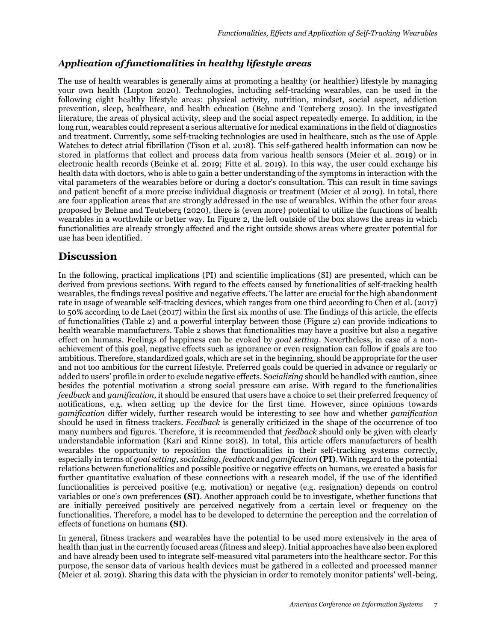#### *Application of functionalities in healthy lifestyle areas*

The use of health wearables is generally aims at promoting a healthy (or healthier) lifestyle by managing your own health (Lupton 2020). Technologies, including self-tracking wearables, can be used in the following eight healthy lifestyle areas: physical activity, nutrition, mindset, social aspect, addiction prevention, sleep, healthcare, and health education (Behne and Teuteberg 2020). In the investigated literature, the areas of physical activity, sleep and the social aspect repeatedly emerge. In addition, in the long run, wearables could represent a serious alternative for medical examinations in the field of diagnostics and treatment. Currently, some self-tracking technologies are used in healthcare, such as the use of Apple Watches to detect atrial fibrillation (Tison et al. 2018). This self-gathered health information can now be stored in platforms that collect and process data from various health sensors (Meier et al. 2019) or in electronic health records (Beinke et al. 2019; Fitte et al. 2019). In this way, the user could exchange his health data with doctors, who is able to gain a better understanding of the symptoms in interaction with the vital parameters of the wearables before or during a doctor's consultation. This can result in time savings and patient benefit of a more precise individual diagnosis or treatment (Meier et al 2019). In total, there are four application areas that are strongly addressed in the use of wearables. Within the other four areas proposed by Behne and Teuteberg (2020), there is (even more) potential to utilize the functions of health wearables in a worthwhile or better way. In [Figure 2,](#page-6-0) the left outside of the box shows the areas in which functionalities are already strongly affected and the right outside shows areas where greater potential for use has been identified.

### **Discussion**

In the following, practical implications (PI) and scientific implications (SI) are presented, which can be derived from previous sections. With regard to the effects caused by functionalities of self-tracking health wearables, the findings reveal positive and negative effects. The latter are crucial for the high abandonment rate in usage of wearable self-tracking devices, which ranges from one third according to Chen et al. (2017) to 50% according to de Laet (2017) within the first six months of use. The findings of this article, the effects of functionalities [\(Table 2\)](#page-5-0) and a powerful interplay between those [\(Figure 2\)](#page-6-0) can provide indications to health wearable manufacturers. [Table 2](#page-5-0) shows that functionalities may have a positive but also a negative effect on humans. Feelings of happiness can be evoked by *goal setting*. Nevertheless, in case of a nonachievement of this goal, negative effects such as ignorance or even resignation can follow if goals are too ambitious. Therefore, standardized goals, which are set in the beginning, should be appropriate for the user and not too ambitious for the current lifestyle. Preferred goals could be queried in advance or regularly or added to users' profile in order to exclude negative effects. S*ocializing* should be handled with caution, since besides the potential motivation a strong social pressure can arise. With regard to the functionalities *feedback* and *gamification*, it should be ensured that users have a choice to set their preferred frequency of notifications, e.g. when setting up the device for the first time. However, since opinions towards *gamification* differ widely, further research would be interesting to see how and whether *gamification* should be used in fitness trackers. *Feedback* is generally criticized in the shape of the occurrence of too many numbers and figures. Therefore, it is recommended that *feedback* should only be given with clearly understandable information (Kari and Rinne 2018). In total, this article offers manufacturers of health wearables the opportunity to reposition the functionalities in their self-tracking systems correctly, especially in terms of *goal setting*, *socializing*, *feedback* and *gamification* **(PI)**. With regard to the potential relations between functionalities and possible positive or negative effects on humans, we created a basis for further quantitative evaluation of these connections with a research model, if the use of the identified functionalities is perceived positive (e.g. motivation) or negative (e.g. resignation) depends on control variables or one's own preferences **(SI)**. Another approach could be to investigate, whether functions that are initially perceived positively are perceived negatively from a certain level or frequency on the functionalities. Therefore, a model has to be developed to determine the perception and the correlation of effects of functions on humans **(SI)**.

In general, fitness trackers and wearables have the potential to be used more extensively in the area of health than just in the currently focused areas (fitness and sleep). Initial approaches have also been explored and have already been used to integrate self-measured vital parameters into the healthcare sector. For this purpose, the sensor data of various health devices must be gathered in a collected and processed manner (Meier et al. 2019). Sharing this data with the physician in order to remotely monitor patients' well-being,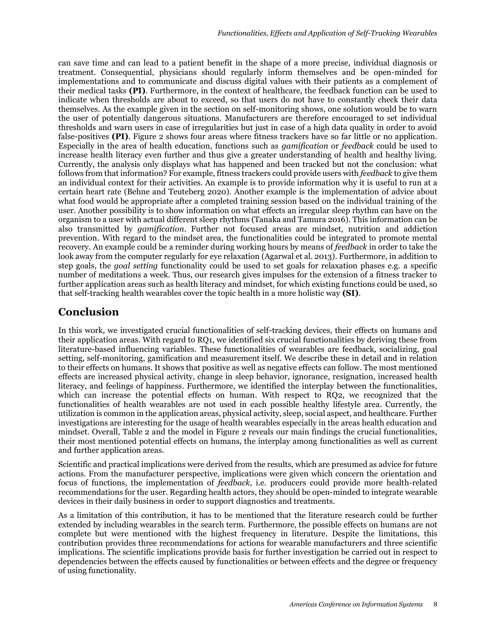can save time and can lead to a patient benefit in the shape of a more precise, individual diagnosis or treatment. Consequential, physicians should regularly inform themselves and be open-minded for implementations and to communicate and discuss digital values with their patients as a complement of their medical tasks **(PI)**. Furthermore, in the context of healthcare, the feedback function can be used to indicate when thresholds are about to exceed, so that users do not have to constantly check their data themselves. As the example given in the section on self-monitoring shows, one solution would be to warn the user of potentially dangerous situations. Manufacturers are therefore encouraged to set individual thresholds and warn users in case of irregularities but just in case of a high data quality in order to avoid false-positives **(PI)**. [Figure 2](#page-6-0) shows four areas where fitness trackers have so far little or no application. Especially in the area of health education, functions such as *gamification* or *feedback* could be used to increase health literacy even further and thus give a greater understanding of health and healthy living. Currently, the analysis only displays what has happened and been tracked but not the conclusion: what follows from that information? For example, fitness trackers could provide users with *feedback* to give them an individual context for their activities. An example is to provide information why it is useful to run at a certain heart rate (Behne and Teuteberg 2020). Another example is the implementation of advice about what food would be appropriate after a completed training session based on the individual training of the user. Another possibility is to show information on what effects an irregular sleep rhythm can have on the organism to a user with actual different sleep rhythms (Tanaka and Tamura 2016). This information can be also transmitted by *gamification*. Further not focused areas are mindset, nutrition and addiction prevention. With regard to the mindset area, the functionalities could be integrated to promote mental recovery. An example could be a reminder during working hours by means of *feedback* in order to take the look away from the computer regularly for eye relaxation (Agarwal et al. 2013). Furthermore, in addition to step goals, the *goal setting* functionality could be used to set goals for relaxation phases e.g. a specific number of meditations a week. Thus, our research gives impulses for the extension of a fitness tracker to further application areas such as health literacy and mindset, for which existing functions could be used, so that self-tracking health wearables cover the topic health in a more holistic way **(SI)**.

### **Conclusion**

In this work, we investigated crucial functionalities of self-tracking devices, their effects on humans and their application areas. With regard to RQ1, we identified six crucial functionalities by deriving these from literature-based influencing variables. These functionalities of wearables are feedback, socializing, goal setting, self-monitoring, gamification and measurement itself. We describe these in detail and in relation to their effects on humans. It shows that positive as well as negative effects can follow. The most mentioned effects are increased physical activity, change in sleep behavior, ignorance, resignation, increased health literacy, and feelings of happiness. Furthermore, we identified the interplay between the functionalities, which can increase the potential effects on human. With respect to RQ2, we recognized that the functionalities of health wearables are not used in each possible healthy lifestyle area. Currently, the utilization is common in the application areas, physical activity, sleep, social aspect, and healthcare. Further investigations are interesting for the usage of health wearables especially in the areas health education and mindset. Overall, [Table 2](#page-5-0) and the model in [Figure 2](#page-6-0) reveals our main findings the crucial functionalities, their most mentioned potential effects on humans, the interplay among functionalities as well as current and further application areas.

Scientific and practical implications were derived from the results, which are presumed as advice for future actions. From the manufacturer perspective, implications were given which concern the orientation and focus of functions, the implementation of *feedback*, i.e. producers could provide more health-related recommendations for the user. Regarding health actors, they should be open-minded to integrate wearable devices in their daily business in order to support diagnostics and treatments.

As a limitation of this contribution, it has to be mentioned that the literature research could be further extended by including wearables in the search term. Furthermore, the possible effects on humans are not complete but were mentioned with the highest frequency in literature. Despite the limitations, this contribution provides three recommendations for actions for wearable manufacturers and three scientific implications. The scientific implications provide basis for further investigation be carried out in respect to dependencies between the effects caused by functionalities or between effects and the degree or frequency of using functionality.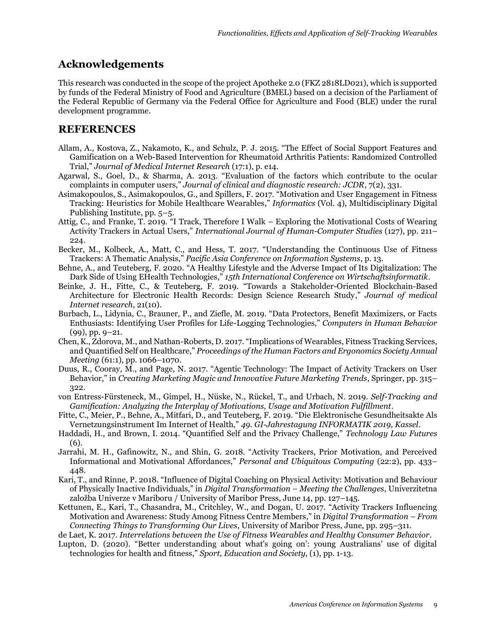## **Acknowledgements**

This research was conducted in the scope of the project Apotheke 2.0 (FKZ 2818LD021), which is supported by funds of the Federal Ministry of Food and Agriculture (BMEL) based on a decision of the Parliament of the Federal Republic of Germany via the Federal Office for Agriculture and Food (BLE) under the rural development programme.

## **REFERENCES**

- Allam, A., Kostova, Z., Nakamoto, K., and Schulz, P. J. 2015. "The Effect of Social Support Features and Gamification on a Web-Based Intervention for Rheumatoid Arthritis Patients: Randomized Controlled Trial," *Journal of Medical Internet Research* (17:1), p. e14.
- Agarwal, S., Goel, D., & Sharma, A. 2013. "Evaluation of the factors which contribute to the ocular complaints in computer users," *Journal of clinical and diagnostic research: JCDR*, 7(2), 331.
- Asimakopoulos, S., Asimakopoulos, G., and Spillers, F. 2017. "Motivation and User Engagement in Fitness Tracking: Heuristics for Mobile Healthcare Wearables," *Informatics* (Vol. 4), Multidisciplinary Digital Publishing Institute, pp. 5–5.
- Attig, C., and Franke, T. 2019. "I Track, Therefore I Walk Exploring the Motivational Costs of Wearing Activity Trackers in Actual Users," *International Journal of Human-Computer Studies* (127), pp. 211– 224.
- Becker, M., Kolbeck, A., Matt, C., and Hess, T. 2017. "Understanding the Continuous Use of Fitness Trackers: A Thematic Analysis," *Pacific Asia Conference on Information Systems*, p. 13.
- Behne, A., and Teuteberg, F. 2020. "A Healthy Lifestyle and the Adverse Impact of Its Digitalization: The Dark Side of Using EHealth Technologies," *15th International Conference on Wirtschaftsinformatik*.
- Beinke, J. H., Fitte, C., & Teuteberg, F. 2019. "Towards a Stakeholder-Oriented Blockchain-Based Architecture for Electronic Health Records: Design Science Research Study," *Journal of medical Internet research*, 21(10).
- Burbach, L., Lidynia, C., Brauner, P., and Ziefle, M. 2019. "Data Protectors, Benefit Maximizers, or Facts Enthusiasts: Identifying User Profiles for Life-Logging Technologies," *Computers in Human Behavior* (99), pp. 9–21.
- Chen, K., Zdorova, M., and Nathan-Roberts, D. 2017. "Implications of Wearables, Fitness Tracking Services, and Quantified Self on Healthcare," *Proceedings of the Human Factors and Ergonomics Society Annual Meeting* (61:1), pp. 1066–1070.
- Duus, R., Cooray, M., and Page, N. 2017. "Agentic Technology: The Impact of Activity Trackers on User Behavior," in *Creating Marketing Magic and Innovative Future Marketing Trends*, Springer, pp. 315– 322.
- von Entress-Fürsteneck, M., Gimpel, H., Nüske, N., Rückel, T., and Urbach, N. 2019. *Self-Tracking and Gamification: Analyzing the Interplay of Motivations, Usage and Motivation Fulfillment*.
- Fitte, C., Meier, P., Behne, A., Mitfari, D., and Teuteberg, F. 2019. "Die Elektronische Gesundheitsakte Als Vernetzungsinstrument Im Internet of Health," *49. GI-Jahrestagung INFORMATIK 2019, Kassel*.
- Haddadi, H., and Brown, I. 2014. "Quantified Self and the Privacy Challenge," *Technology Law Futures* (6).
- Jarrahi, M. H., Gafinowitz, N., and Shin, G. 2018. "Activity Trackers, Prior Motivation, and Perceived Informational and Motivational Affordances," *Personal and Ubiquitous Computing* (22:2), pp. 433– 448.
- Kari, T., and Rinne, P. 2018. "Influence of Digital Coaching on Physical Activity: Motivation and Behaviour of Physically Inactive Individuals," in *Digital Transformation – Meeting the Challenges*, Univerzitetna založba Univerze v Mariboru / University of Maribor Press, June 14, pp. 127–145.
- Kettunen, E., Kari, T., Chasandra, M., Critchley, W., and Dogan, U. 2017. "Activity Trackers Influencing Motivation and Awareness: Study Among Fitness Centre Members," in *Digital Transformation – From Connecting Things to Transforming Our Lives*, University of Maribor Press, June, pp. 295–311.
- de Laet, K. 2017. *Interrelations between the Use of Fitness Wearables and Healthy Consumer Behavior*.
- Lupton, D. (2020). "Better understanding about what's going on': young Australians' use of digital technologies for health and fitness," *Sport, Education and Society*, (1), pp. 1-13.